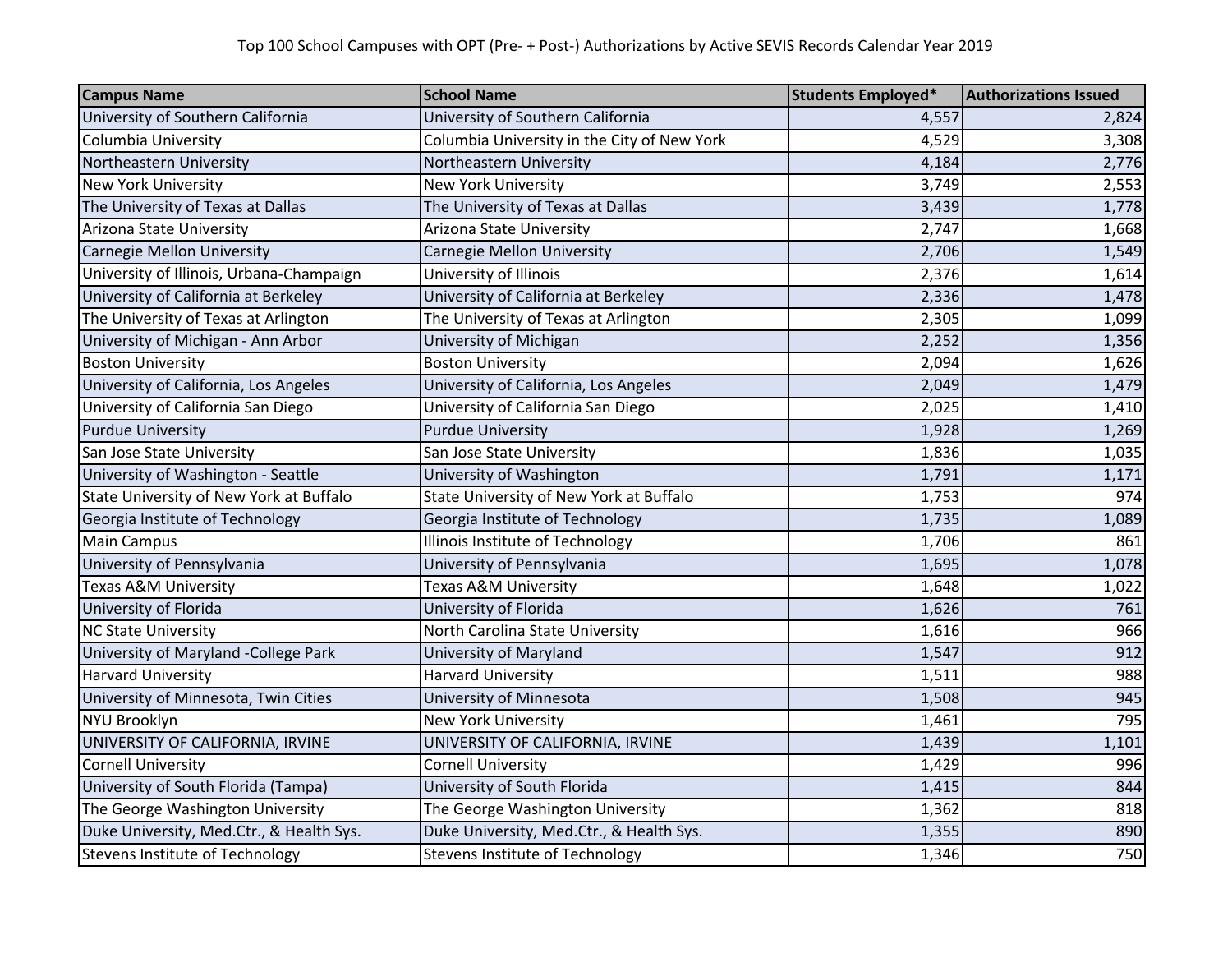| <b>Campus Name</b>                       | <b>School Name</b>                          | Students Employed* | <b>Authorizations Issued</b> |
|------------------------------------------|---------------------------------------------|--------------------|------------------------------|
| University of Southern California        | University of Southern California           | 4,557              | 2,824                        |
| Columbia University                      | Columbia University in the City of New York | 4,529              | 3,308                        |
| Northeastern University                  | Northeastern University                     | 4,184              | 2,776                        |
| <b>New York University</b>               | <b>New York University</b>                  | 3,749              | 2,553                        |
| The University of Texas at Dallas        | The University of Texas at Dallas           | 3,439              | 1,778                        |
| Arizona State University                 | Arizona State University                    | 2,747              | 1,668                        |
| <b>Carnegie Mellon University</b>        | Carnegie Mellon University                  | 2,706              | 1,549                        |
| University of Illinois, Urbana-Champaign | University of Illinois                      | 2,376              | 1,614                        |
| University of California at Berkeley     | University of California at Berkeley        | 2,336              | 1,478                        |
| The University of Texas at Arlington     | The University of Texas at Arlington        | 2,305              | 1,099                        |
| University of Michigan - Ann Arbor       | University of Michigan                      | 2,252              | 1,356                        |
| <b>Boston University</b>                 | <b>Boston University</b>                    | 2,094              | 1,626                        |
| University of California, Los Angeles    | University of California, Los Angeles       | 2,049              | 1,479                        |
| University of California San Diego       | University of California San Diego          | 2,025              | 1,410                        |
| <b>Purdue University</b>                 | <b>Purdue University</b>                    | 1,928              | 1,269                        |
| San Jose State University                | San Jose State University                   | 1,836              | 1,035                        |
| University of Washington - Seattle       | University of Washington                    | 1,791              | 1,171                        |
| State University of New York at Buffalo  | State University of New York at Buffalo     | 1,753              | 974                          |
| Georgia Institute of Technology          | Georgia Institute of Technology             | 1,735              | 1,089                        |
| <b>Main Campus</b>                       | Illinois Institute of Technology            | 1,706              | 861                          |
| University of Pennsylvania               | University of Pennsylvania                  | 1,695              | 1,078                        |
| <b>Texas A&amp;M University</b>          | Texas A&M University                        | 1,648              | 1,022                        |
| University of Florida                    | University of Florida                       | 1,626              | 761                          |
| <b>NC State University</b>               | North Carolina State University             | 1,616              | 966                          |
| University of Maryland -College Park     | University of Maryland                      | 1,547              | 912                          |
| <b>Harvard University</b>                | <b>Harvard University</b>                   | 1,511              | 988                          |
| University of Minnesota, Twin Cities     | University of Minnesota                     | 1,508              | 945                          |
| <b>NYU Brooklyn</b>                      | <b>New York University</b>                  | 1,461              | 795                          |
| UNIVERSITY OF CALIFORNIA, IRVINE         | UNIVERSITY OF CALIFORNIA, IRVINE            | 1,439              | 1,101                        |
| <b>Cornell University</b>                | <b>Cornell University</b>                   | 1,429              | 996                          |
| University of South Florida (Tampa)      | University of South Florida                 | 1,415              | 844                          |
| The George Washington University         | The George Washington University            | 1,362              | 818                          |
| Duke University, Med.Ctr., & Health Sys. | Duke University, Med.Ctr., & Health Sys.    | 1,355              | 890                          |
| <b>Stevens Institute of Technology</b>   | <b>Stevens Institute of Technology</b>      | 1,346              | 750                          |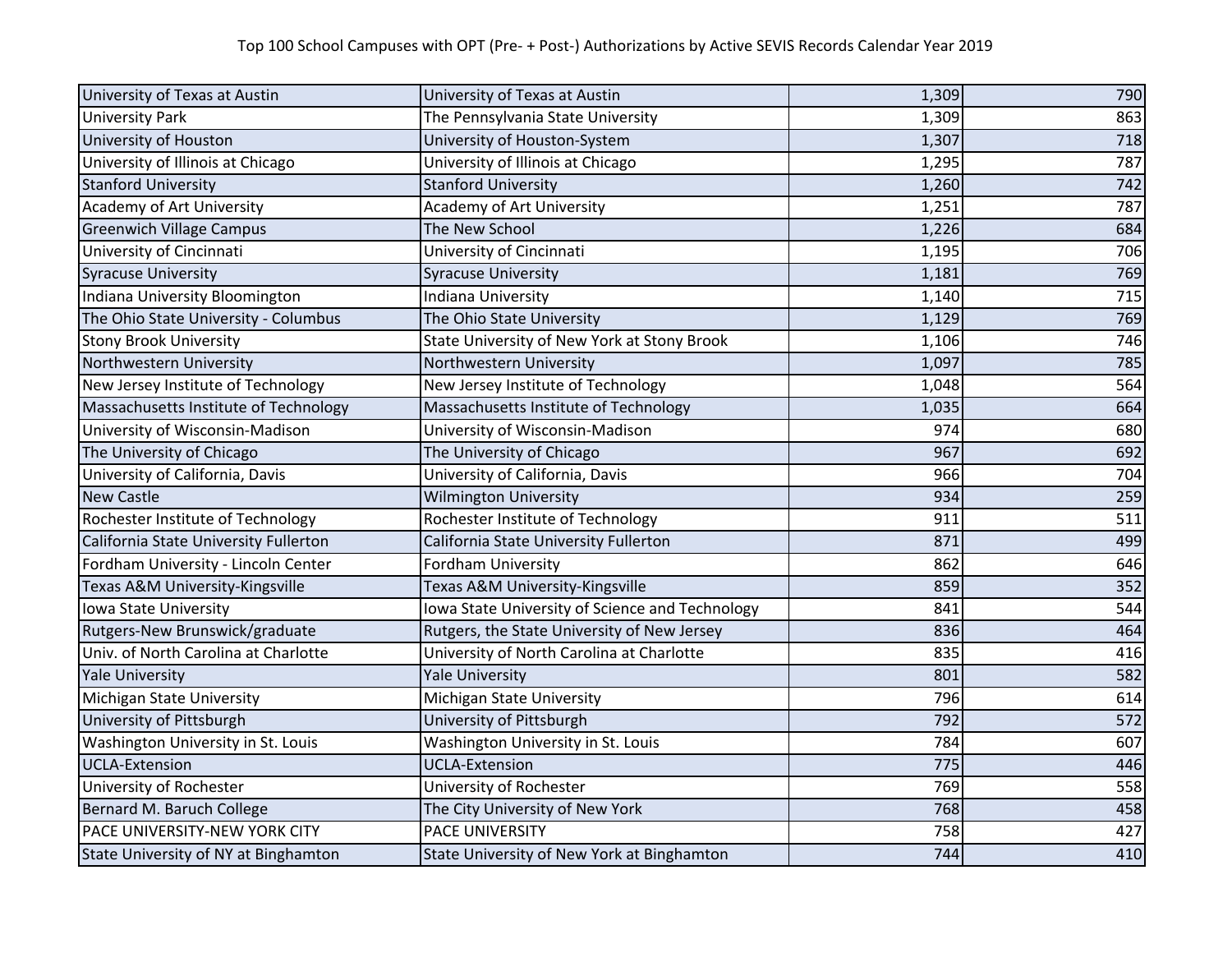| University of Texas at Austin         | University of Texas at Austin                   | 1,309 | 790 |
|---------------------------------------|-------------------------------------------------|-------|-----|
| <b>University Park</b>                | The Pennsylvania State University               | 1,309 | 863 |
| University of Houston                 | University of Houston-System                    | 1,307 | 718 |
| University of Illinois at Chicago     | University of Illinois at Chicago               | 1,295 | 787 |
| <b>Stanford University</b>            | <b>Stanford University</b>                      | 1,260 | 742 |
| Academy of Art University             | <b>Academy of Art University</b>                | 1,251 | 787 |
| <b>Greenwich Village Campus</b>       | The New School                                  | 1,226 | 684 |
| University of Cincinnati              | University of Cincinnati                        | 1,195 | 706 |
| <b>Syracuse University</b>            | <b>Syracuse University</b>                      | 1,181 | 769 |
| Indiana University Bloomington        | Indiana University                              | 1,140 | 715 |
| The Ohio State University - Columbus  | The Ohio State University                       | 1,129 | 769 |
| <b>Stony Brook University</b>         | State University of New York at Stony Brook     | 1,106 | 746 |
| Northwestern University               | Northwestern University                         | 1,097 | 785 |
| New Jersey Institute of Technology    | New Jersey Institute of Technology              | 1,048 | 564 |
| Massachusetts Institute of Technology | Massachusetts Institute of Technology           | 1,035 | 664 |
| University of Wisconsin-Madison       | University of Wisconsin-Madison                 | 974   | 680 |
| The University of Chicago             | The University of Chicago                       | 967   | 692 |
| University of California, Davis       | University of California, Davis                 | 966   | 704 |
| <b>New Castle</b>                     | <b>Wilmington University</b>                    | 934   | 259 |
| Rochester Institute of Technology     | Rochester Institute of Technology               | 911   | 511 |
| California State University Fullerton | California State University Fullerton           | 871   | 499 |
| Fordham University - Lincoln Center   | Fordham University                              | 862   | 646 |
| Texas A&M University-Kingsville       | Texas A&M University-Kingsville                 | 859   | 352 |
| Iowa State University                 | lowa State University of Science and Technology | 841   | 544 |
| Rutgers-New Brunswick/graduate        | Rutgers, the State University of New Jersey     | 836   | 464 |
| Univ. of North Carolina at Charlotte  | University of North Carolina at Charlotte       | 835   | 416 |
| <b>Yale University</b>                | <b>Yale University</b>                          | 801   | 582 |
| Michigan State University             | Michigan State University                       | 796   | 614 |
| University of Pittsburgh              | University of Pittsburgh                        | 792   | 572 |
| Washington University in St. Louis    | Washington University in St. Louis              | 784   | 607 |
| <b>UCLA-Extension</b>                 | <b>UCLA-Extension</b>                           | 775   | 446 |
| University of Rochester               | University of Rochester                         | 769   | 558 |
| Bernard M. Baruch College             | The City University of New York                 | 768   | 458 |
| PACE UNIVERSITY-NEW YORK CITY         | PACE UNIVERSITY                                 | 758   | 427 |
| State University of NY at Binghamton  | State University of New York at Binghamton      | 744   | 410 |